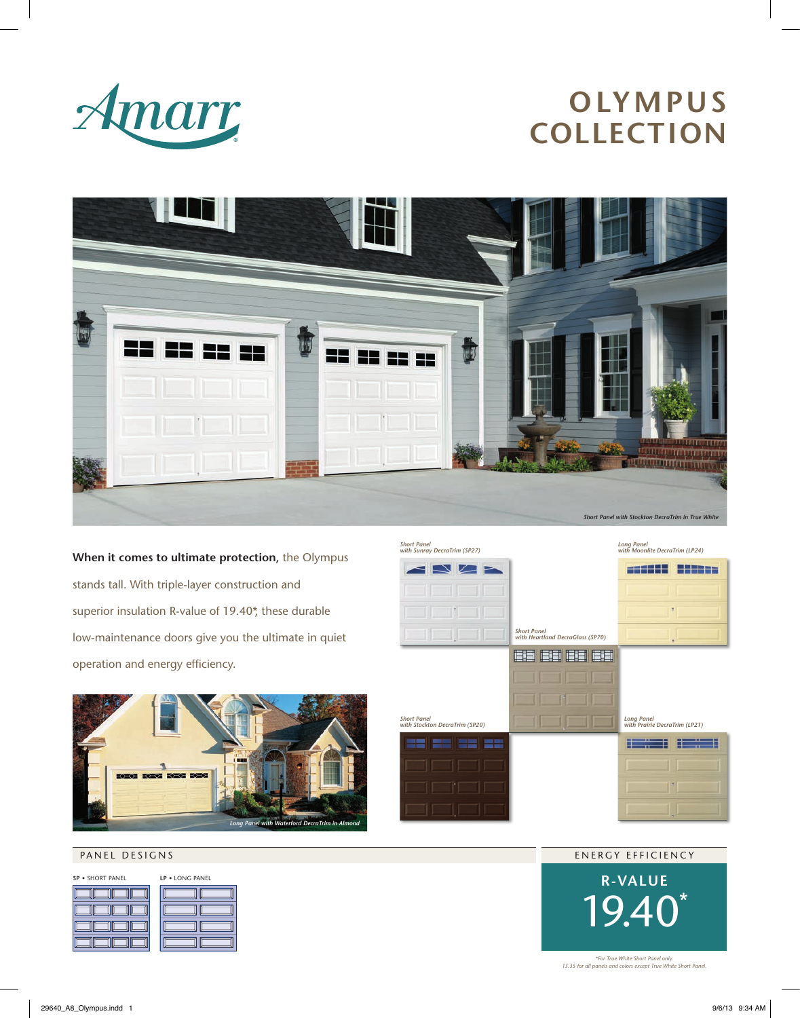

# **OLYMPUS COLLECTION**



**When it comes to ultimate protection**, the Olympus stands tall. With triple-layer construction and superior insulation R-value of 19.40<sup>\*</sup>, these durable low-maintenance doors give you the ultimate in quiet operation and energy efficiency.



#### PANEL DESIGNS

| SP . SHORT PANEL | LP . LONG PANEL |
|------------------|-----------------|
|                  |                 |
|                  |                 |
|                  |                 |
|                  |                 |





*\*For True White Short Panel only. 13.35 for all panels and colors except True White Short Panel.*